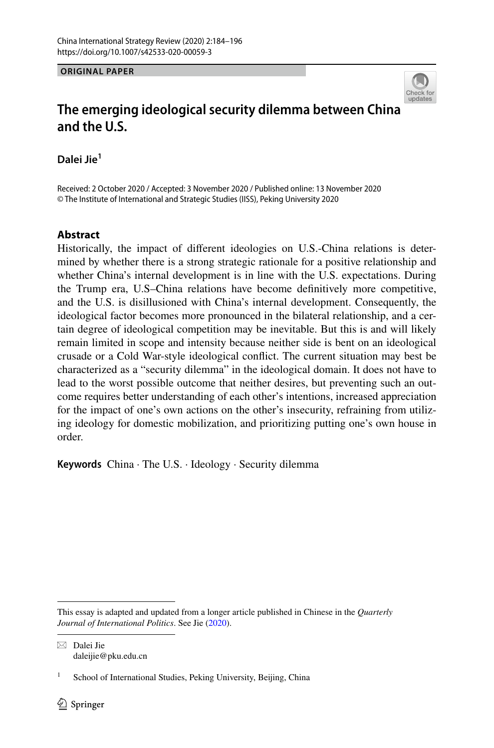**ORIGINAL PAPER**



# **The emerging ideological security dilemma between China and the U.S.**

**Dalei Jie1**

Received: 2 October 2020 / Accepted: 3 November 2020 / Published online: 13 November 2020 © The Institute of International and Strategic Studies (IISS), Peking University 2020

## **Abstract**

Historically, the impact of diferent ideologies on U.S.-China relations is determined by whether there is a strong strategic rationale for a positive relationship and whether China's internal development is in line with the U.S. expectations. During the Trump era, U.S–China relations have become defnitively more competitive, and the U.S. is disillusioned with China's internal development. Consequently, the ideological factor becomes more pronounced in the bilateral relationship, and a certain degree of ideological competition may be inevitable. But this is and will likely remain limited in scope and intensity because neither side is bent on an ideological crusade or a Cold War-style ideological confict. The current situation may best be characterized as a "security dilemma" in the ideological domain. It does not have to lead to the worst possible outcome that neither desires, but preventing such an outcome requires better understanding of each other's intentions, increased appreciation for the impact of one's own actions on the other's insecurity, refraining from utilizing ideology for domestic mobilization, and prioritizing putting one's own house in order.

**Keywords** China · The U.S. · Ideology · Security dilemma

 $\boxtimes$  Dalei Jie daleijie@pku.edu.cn

This essay is adapted and updated from a longer article published in Chinese in the *Quarterly Journal of International Politics*. See Jie ([2020\)](#page-11-0).

School of International Studies, Peking University, Beijing, China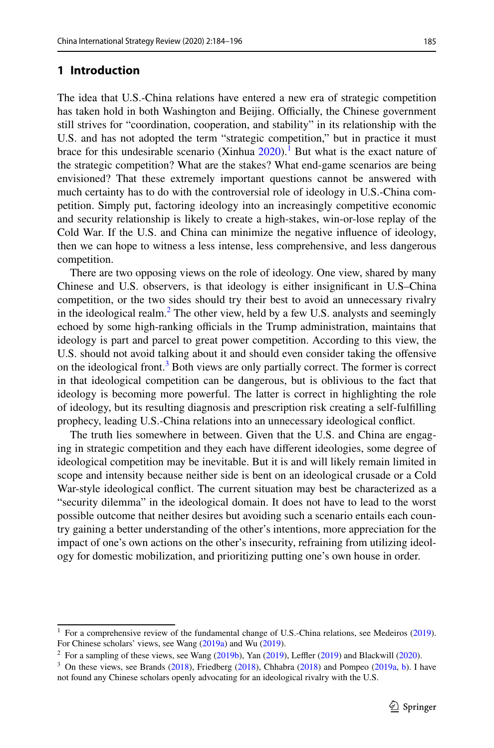### **1 Introduction**

The idea that U.S.-China relations have entered a new era of strategic competition has taken hold in both Washington and Beijing. Officially, the Chinese government still strives for "coordination, cooperation, and stability" in its relationship with the U.S. and has not adopted the term "strategic competition," but in practice it must brace for this undesirable scenario (Xinhua  $2020$ ).<sup>[1](#page-1-0)</sup> But what is the exact nature of the strategic competition? What are the stakes? What end-game scenarios are being envisioned? That these extremely important questions cannot be answered with much certainty has to do with the controversial role of ideology in U.S.-China competition. Simply put, factoring ideology into an increasingly competitive economic and security relationship is likely to create a high-stakes, win-or-lose replay of the Cold War. If the U.S. and China can minimize the negative infuence of ideology, then we can hope to witness a less intense, less comprehensive, and less dangerous competition.

There are two opposing views on the role of ideology. One view, shared by many Chinese and U.S. observers, is that ideology is either insignifcant in U.S–China competition, or the two sides should try their best to avoid an unnecessary rivalry in the ideological realm.<sup>[2](#page-1-1)</sup> The other view, held by a few U.S. analysts and seemingly echoed by some high-ranking officials in the Trump administration, maintains that ideology is part and parcel to great power competition. According to this view, the U.S. should not avoid talking about it and should even consider taking the ofensive on the ideological front.<sup>3</sup> Both views are only partially correct. The former is correct in that ideological competition can be dangerous, but is oblivious to the fact that ideology is becoming more powerful. The latter is correct in highlighting the role of ideology, but its resulting diagnosis and prescription risk creating a self-fulflling prophecy, leading U.S.-China relations into an unnecessary ideological confict.

The truth lies somewhere in between. Given that the U.S. and China are engaging in strategic competition and they each have diferent ideologies, some degree of ideological competition may be inevitable. But it is and will likely remain limited in scope and intensity because neither side is bent on an ideological crusade or a Cold War-style ideological confict. The current situation may best be characterized as a "security dilemma" in the ideological domain. It does not have to lead to the worst possible outcome that neither desires but avoiding such a scenario entails each country gaining a better understanding of the other's intentions, more appreciation for the impact of one's own actions on the other's insecurity, refraining from utilizing ideology for domestic mobilization, and prioritizing putting one's own house in order.

<span id="page-1-0"></span><sup>&</sup>lt;sup>1</sup> For a comprehensive review of the fundamental change of U.S.-China relations, see Medeiros ([2019\)](#page-11-1). For Chinese scholars' views, see Wang [\(2019a\)](#page-12-1) and Wu ([2019\)](#page-12-2).

<span id="page-1-1"></span><sup>&</sup>lt;sup>2</sup> For a sampling of these views, see Wang ([2019b\)](#page-12-3), Yan ([2019\)](#page-12-4), Leffler [\(2019](#page-11-2)) and Blackwill [\(2020](#page-10-0)).

<span id="page-1-2"></span> $3$  On these views, see Brands [\(2018](#page-10-3)), Friedberg ([2018\)](#page-10-2), Chhabra (2018) and Pompeo [\(2019a,](#page-11-3) [b](#page-11-4)). I have not found any Chinese scholars openly advocating for an ideological rivalry with the U.S.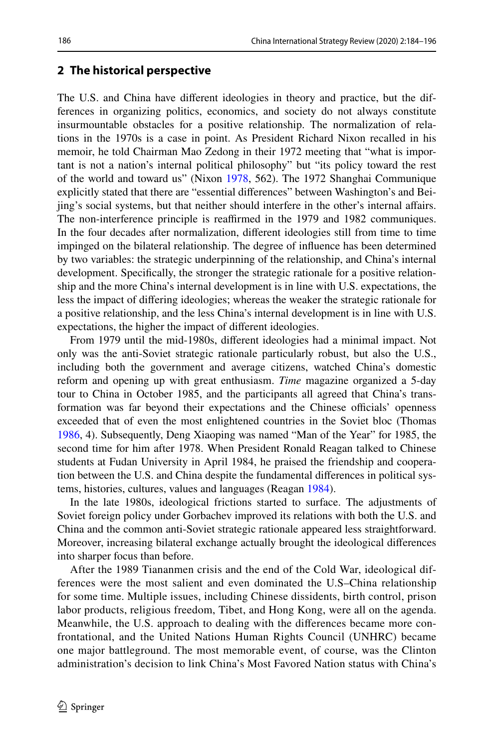#### **2 The historical perspective**

The U.S. and China have diferent ideologies in theory and practice, but the differences in organizing politics, economics, and society do not always constitute insurmountable obstacles for a positive relationship. The normalization of relations in the 1970s is a case in point. As President Richard Nixon recalled in his memoir, he told Chairman Mao Zedong in their 1972 meeting that "what is important is not a nation's internal political philosophy" but "its policy toward the rest of the world and toward us" (Nixon [1978](#page-11-5), 562). The 1972 Shanghai Communique explicitly stated that there are "essential diferences" between Washington's and Beijing's social systems, but that neither should interfere in the other's internal afairs. The non-interference principle is reaffirmed in the 1979 and 1982 communiques. In the four decades after normalization, diferent ideologies still from time to time impinged on the bilateral relationship. The degree of infuence has been determined by two variables: the strategic underpinning of the relationship, and China's internal development. Specifcally, the stronger the strategic rationale for a positive relationship and the more China's internal development is in line with U.S. expectations, the less the impact of difering ideologies; whereas the weaker the strategic rationale for a positive relationship, and the less China's internal development is in line with U.S. expectations, the higher the impact of diferent ideologies.

From 1979 until the mid-1980s, diferent ideologies had a minimal impact. Not only was the anti-Soviet strategic rationale particularly robust, but also the U.S., including both the government and average citizens, watched China's domestic reform and opening up with great enthusiasm. *Time* magazine organized a 5-day tour to China in October 1985, and the participants all agreed that China's transformation was far beyond their expectations and the Chinese officials' openness exceeded that of even the most enlightened countries in the Soviet bloc (Thomas [1986](#page-12-5), 4). Subsequently, Deng Xiaoping was named "Man of the Year" for 1985, the second time for him after 1978. When President Ronald Reagan talked to Chinese students at Fudan University in April 1984, he praised the friendship and cooperation between the U.S. and China despite the fundamental diferences in political systems, histories, cultures, values and languages (Reagan [1984](#page-11-6)).

In the late 1980s, ideological frictions started to surface. The adjustments of Soviet foreign policy under Gorbachev improved its relations with both the U.S. and China and the common anti-Soviet strategic rationale appeared less straightforward. Moreover, increasing bilateral exchange actually brought the ideological diferences into sharper focus than before.

After the 1989 Tiananmen crisis and the end of the Cold War, ideological differences were the most salient and even dominated the U.S–China relationship for some time. Multiple issues, including Chinese dissidents, birth control, prison labor products, religious freedom, Tibet, and Hong Kong, were all on the agenda. Meanwhile, the U.S. approach to dealing with the diferences became more confrontational, and the United Nations Human Rights Council (UNHRC) became one major battleground. The most memorable event, of course, was the Clinton administration's decision to link China's Most Favored Nation status with China's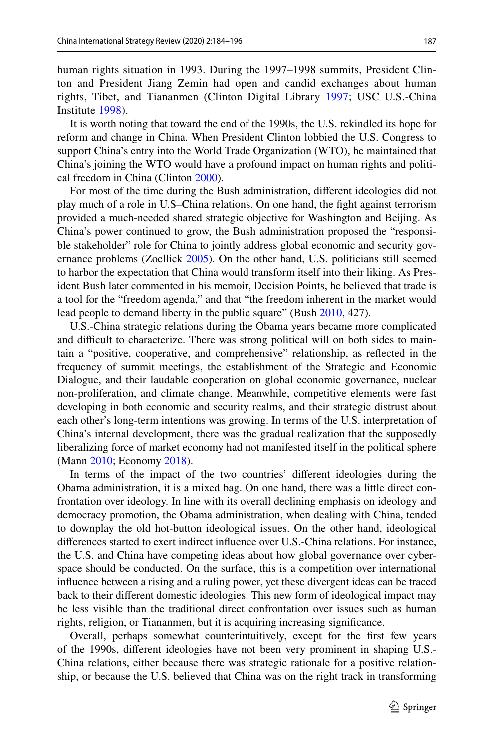human rights situation in 1993. During the 1997–1998 summits, President Clinton and President Jiang Zemin had open and candid exchanges about human rights, Tibet, and Tiananmen (Clinton Digital Library [1997](#page-10-4); USC U.S.-China Institute [1998](#page-12-6)).

It is worth noting that toward the end of the 1990s, the U.S. rekindled its hope for reform and change in China. When President Clinton lobbied the U.S. Congress to support China's entry into the World Trade Organization (WTO), he maintained that China's joining the WTO would have a profound impact on human rights and political freedom in China (Clinton [2000](#page-10-5)).

For most of the time during the Bush administration, diferent ideologies did not play much of a role in U.S–China relations. On one hand, the fght against terrorism provided a much-needed shared strategic objective for Washington and Beijing. As China's power continued to grow, the Bush administration proposed the "responsible stakeholder" role for China to jointly address global economic and security governance problems (Zoellick [2005\)](#page-12-7). On the other hand, U.S. politicians still seemed to harbor the expectation that China would transform itself into their liking. As President Bush later commented in his memoir, Decision Points, he believed that trade is a tool for the "freedom agenda," and that "the freedom inherent in the market would lead people to demand liberty in the public square" (Bush [2010](#page-10-6), 427).

U.S.-China strategic relations during the Obama years became more complicated and difficult to characterize. There was strong political will on both sides to maintain a "positive, cooperative, and comprehensive" relationship, as refected in the frequency of summit meetings, the establishment of the Strategic and Economic Dialogue, and their laudable cooperation on global economic governance, nuclear non-proliferation, and climate change. Meanwhile, competitive elements were fast developing in both economic and security realms, and their strategic distrust about each other's long-term intentions was growing. In terms of the U.S. interpretation of China's internal development, there was the gradual realization that the supposedly liberalizing force of market economy had not manifested itself in the political sphere (Mann [2010](#page-11-7); Economy [2018](#page-10-7)).

In terms of the impact of the two countries' diferent ideologies during the Obama administration, it is a mixed bag. On one hand, there was a little direct confrontation over ideology. In line with its overall declining emphasis on ideology and democracy promotion, the Obama administration, when dealing with China, tended to downplay the old hot-button ideological issues. On the other hand, ideological diferences started to exert indirect infuence over U.S.-China relations. For instance, the U.S. and China have competing ideas about how global governance over cyberspace should be conducted. On the surface, this is a competition over international infuence between a rising and a ruling power, yet these divergent ideas can be traced back to their diferent domestic ideologies. This new form of ideological impact may be less visible than the traditional direct confrontation over issues such as human rights, religion, or Tiananmen, but it is acquiring increasing signifcance.

Overall, perhaps somewhat counterintuitively, except for the frst few years of the 1990s, diferent ideologies have not been very prominent in shaping U.S.- China relations, either because there was strategic rationale for a positive relationship, or because the U.S. believed that China was on the right track in transforming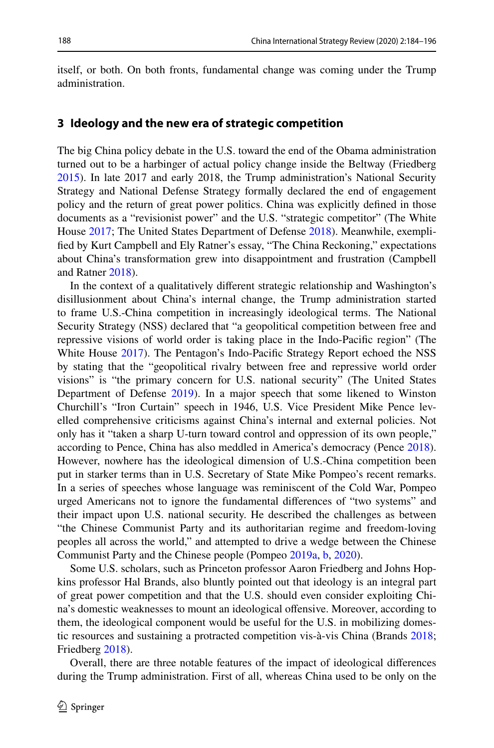itself, or both. On both fronts, fundamental change was coming under the Trump administration.

#### **3 Ideology and the new era of strategic competition**

The big China policy debate in the U.S. toward the end of the Obama administration turned out to be a harbinger of actual policy change inside the Beltway (Friedberg [2015](#page-10-8)). In late 2017 and early 2018, the Trump administration's National Security Strategy and National Defense Strategy formally declared the end of engagement policy and the return of great power politics. China was explicitly defned in those documents as a "revisionist power" and the U.S. "strategic competitor" (The White House [2017](#page-11-8); The United States Department of Defense [2018](#page-11-9)). Meanwhile, exemplifed by Kurt Campbell and Ely Ratner's essay, "The China Reckoning," expectations about China's transformation grew into disappointment and frustration (Campbell and Ratner [2018](#page-10-9)).

In the context of a qualitatively diferent strategic relationship and Washington's disillusionment about China's internal change, the Trump administration started to frame U.S.-China competition in increasingly ideological terms. The National Security Strategy (NSS) declared that "a geopolitical competition between free and repressive visions of world order is taking place in the Indo-Pacifc region" (The White House [2017\)](#page-11-8). The Pentagon's Indo-Pacifc Strategy Report echoed the NSS by stating that the "geopolitical rivalry between free and repressive world order visions" is "the primary concern for U.S. national security" (The United States Department of Defense [2019\)](#page-11-10). In a major speech that some likened to Winston Churchill's "Iron Curtain" speech in 1946, U.S. Vice President Mike Pence levelled comprehensive criticisms against China's internal and external policies. Not only has it "taken a sharp U-turn toward control and oppression of its own people," according to Pence, China has also meddled in America's democracy (Pence [2018\)](#page-11-11). However, nowhere has the ideological dimension of U.S.-China competition been put in starker terms than in U.S. Secretary of State Mike Pompeo's recent remarks. In a series of speeches whose language was reminiscent of the Cold War, Pompeo urged Americans not to ignore the fundamental diferences of "two systems" and their impact upon U.S. national security. He described the challenges as between "the Chinese Communist Party and its authoritarian regime and freedom-loving peoples all across the world," and attempted to drive a wedge between the Chinese Communist Party and the Chinese people (Pompeo [2019a](#page-11-3), [b](#page-11-4), [2020](#page-11-12)).

Some U.S. scholars, such as Princeton professor Aaron Friedberg and Johns Hopkins professor Hal Brands, also bluntly pointed out that ideology is an integral part of great power competition and that the U.S. should even consider exploiting China's domestic weaknesses to mount an ideological ofensive. Moreover, according to them, the ideological component would be useful for the U.S. in mobilizing domestic resources and sustaining a protracted competition vis-à-vis China (Brands [2018;](#page-10-1) Friedberg [2018](#page-10-2)).

Overall, there are three notable features of the impact of ideological diferences during the Trump administration. First of all, whereas China used to be only on the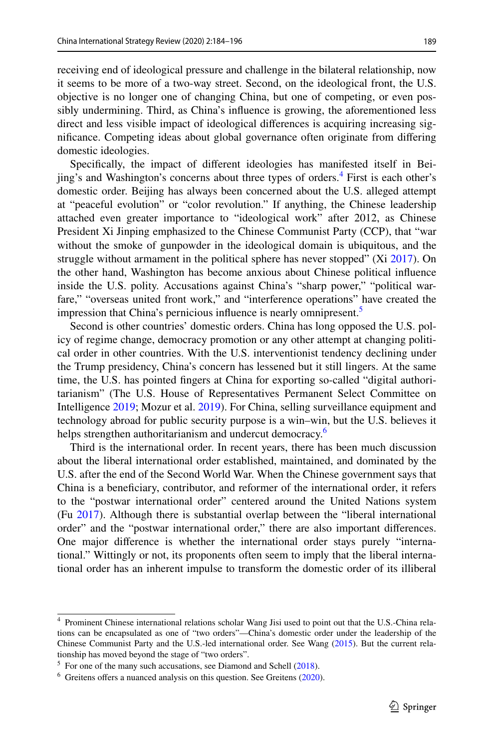receiving end of ideological pressure and challenge in the bilateral relationship, now it seems to be more of a two-way street. Second, on the ideological front, the U.S. objective is no longer one of changing China, but one of competing, or even possibly undermining. Third, as China's infuence is growing, the aforementioned less direct and less visible impact of ideological diferences is acquiring increasing signifcance. Competing ideas about global governance often originate from difering domestic ideologies.

Specifcally, the impact of diferent ideologies has manifested itself in Beijing's and Washington's concerns about three types of orders[.4](#page-5-0) First is each other's domestic order. Beijing has always been concerned about the U.S. alleged attempt at "peaceful evolution" or "color revolution." If anything, the Chinese leadership attached even greater importance to "ideological work" after 2012, as Chinese President Xi Jinping emphasized to the Chinese Communist Party (CCP), that "war without the smoke of gunpowder in the ideological domain is ubiquitous, and the struggle without armament in the political sphere has never stopped" (Xi [2017\)](#page-12-8). On the other hand, Washington has become anxious about Chinese political infuence inside the U.S. polity. Accusations against China's "sharp power," "political warfare," "overseas united front work," and "interference operations" have created the impression that China's pernicious influence is nearly omnipresent.<sup>5</sup>

Second is other countries' domestic orders. China has long opposed the U.S. policy of regime change, democracy promotion or any other attempt at changing political order in other countries. With the U.S. interventionist tendency declining under the Trump presidency, China's concern has lessened but it still lingers. At the same time, the U.S. has pointed fngers at China for exporting so-called "digital authoritarianism" (The U.S. House of Representatives Permanent Select Committee on Intelligence [2019](#page-11-13); Mozur et al. [2019](#page-11-14)). For China, selling surveillance equipment and technology abroad for public security purpose is a win–win, but the U.S. believes it helps strengthen authoritarianism and undercut democracy.<sup>[6](#page-5-2)</sup>

Third is the international order. In recent years, there has been much discussion about the liberal international order established, maintained, and dominated by the U.S. after the end of the Second World War. When the Chinese government says that China is a benefciary, contributor, and reformer of the international order, it refers to the "postwar international order" centered around the United Nations system (Fu [2017](#page-10-10)). Although there is substantial overlap between the "liberal international order" and the "postwar international order," there are also important diferences. One major diference is whether the international order stays purely "international." Wittingly or not, its proponents often seem to imply that the liberal international order has an inherent impulse to transform the domestic order of its illiberal

<span id="page-5-0"></span><sup>4</sup> Prominent Chinese international relations scholar Wang Jisi used to point out that the U.S.-China relations can be encapsulated as one of "two orders"—China's domestic order under the leadership of the Chinese Communist Party and the U.S.-led international order. See Wang ([2015\)](#page-12-9). But the current relationship has moved beyond the stage of "two orders".

<span id="page-5-1"></span><sup>&</sup>lt;sup>5</sup> For one of the many such accusations, see Diamond and Schell [\(2018](#page-10-11)).

<span id="page-5-2"></span> $6$  Greitens offers a nuanced analysis on this question. See Greitens ([2020\)](#page-11-15).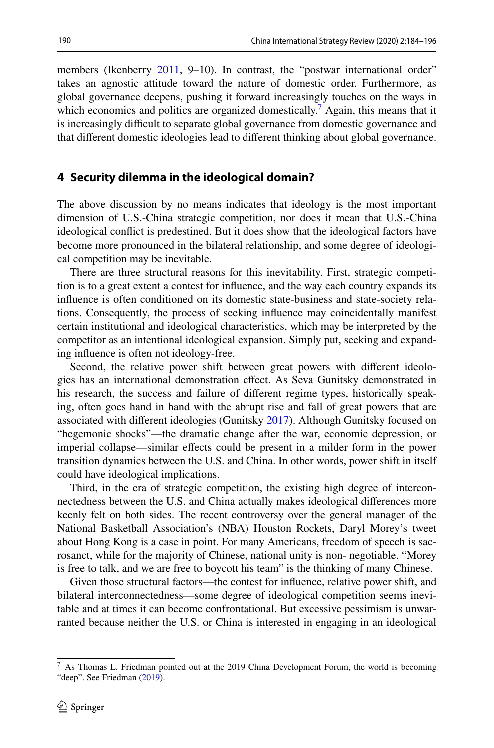members (Ikenberry [2011,](#page-11-16) 9–10). In contrast, the "postwar international order" takes an agnostic attitude toward the nature of domestic order. Furthermore, as global governance deepens, pushing it forward increasingly touches on the ways in which economics and politics are organized domestically.<sup> $\prime$ </sup> Again, this means that it is increasingly difficult to separate global governance from domestic governance and that diferent domestic ideologies lead to diferent thinking about global governance.

### **4 Security dilemma in the ideological domain?**

The above discussion by no means indicates that ideology is the most important dimension of U.S.-China strategic competition, nor does it mean that U.S.-China ideological confict is predestined. But it does show that the ideological factors have become more pronounced in the bilateral relationship, and some degree of ideological competition may be inevitable.

There are three structural reasons for this inevitability. First, strategic competition is to a great extent a contest for infuence, and the way each country expands its infuence is often conditioned on its domestic state-business and state-society relations. Consequently, the process of seeking infuence may coincidentally manifest certain institutional and ideological characteristics, which may be interpreted by the competitor as an intentional ideological expansion. Simply put, seeking and expanding infuence is often not ideology-free.

Second, the relative power shift between great powers with diferent ideologies has an international demonstration efect. As Seva Gunitsky demonstrated in his research, the success and failure of diferent regime types, historically speaking, often goes hand in hand with the abrupt rise and fall of great powers that are associated with diferent ideologies (Gunitsky [2017](#page-11-17)). Although Gunitsky focused on "hegemonic shocks"—the dramatic change after the war, economic depression, or imperial collapse—similar efects could be present in a milder form in the power transition dynamics between the U.S. and China. In other words, power shift in itself could have ideological implications.

Third, in the era of strategic competition, the existing high degree of interconnectedness between the U.S. and China actually makes ideological diferences more keenly felt on both sides. The recent controversy over the general manager of the National Basketball Association's (NBA) Houston Rockets, Daryl Morey's tweet about Hong Kong is a case in point. For many Americans, freedom of speech is sacrosanct, while for the majority of Chinese, national unity is non- negotiable. "Morey is free to talk, and we are free to boycott his team" is the thinking of many Chinese.

Given those structural factors—the contest for infuence, relative power shift, and bilateral interconnectedness—some degree of ideological competition seems inevitable and at times it can become confrontational. But excessive pessimism is unwarranted because neither the U.S. or China is interested in engaging in an ideological

<span id="page-6-0"></span> $7$  As Thomas L. Friedman pointed out at the 2019 China Development Forum, the world is becoming "deep". See Friedman [\(2019](#page-10-12)).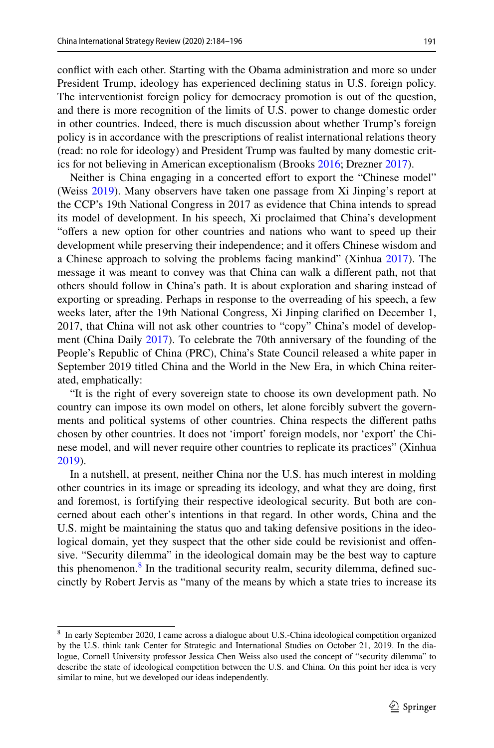confict with each other. Starting with the Obama administration and more so under President Trump, ideology has experienced declining status in U.S. foreign policy. The interventionist foreign policy for democracy promotion is out of the question, and there is more recognition of the limits of U.S. power to change domestic order in other countries. Indeed, there is much discussion about whether Trump's foreign policy is in accordance with the prescriptions of realist international relations theory (read: no role for ideology) and President Trump was faulted by many domestic critics for not believing in American exceptionalism (Brooks [2016;](#page-10-13) Drezner [2017\)](#page-10-14).

Neither is China engaging in a concerted effort to export the "Chinese model" (Weiss [2019\)](#page-12-10). Many observers have taken one passage from Xi Jinping's report at the CCP's 19th National Congress in 2017 as evidence that China intends to spread its model of development. In his speech, Xi proclaimed that China's development "offers a new option for other countries and nations who want to speed up their development while preserving their independence; and it ofers Chinese wisdom and a Chinese approach to solving the problems facing mankind" (Xinhua [2017](#page-12-11)). The message it was meant to convey was that China can walk a diferent path, not that others should follow in China's path. It is about exploration and sharing instead of exporting or spreading. Perhaps in response to the overreading of his speech, a few weeks later, after the 19th National Congress, Xi Jinping clarifed on December 1, 2017, that China will not ask other countries to "copy" China's model of development (China Daily [2017\)](#page-10-15). To celebrate the 70th anniversary of the founding of the People's Republic of China (PRC), China's State Council released a white paper in September 2019 titled China and the World in the New Era, in which China reiterated, emphatically:

"It is the right of every sovereign state to choose its own development path. No country can impose its own model on others, let alone forcibly subvert the governments and political systems of other countries. China respects the diferent paths chosen by other countries. It does not 'import' foreign models, nor 'export' the Chinese model, and will never require other countries to replicate its practices" (Xinhua [2019](#page-12-12)).

In a nutshell, at present, neither China nor the U.S. has much interest in molding other countries in its image or spreading its ideology, and what they are doing, frst and foremost, is fortifying their respective ideological security. But both are concerned about each other's intentions in that regard. In other words, China and the U.S. might be maintaining the status quo and taking defensive positions in the ideological domain, yet they suspect that the other side could be revisionist and ofensive. "Security dilemma" in the ideological domain may be the best way to capture this phenomenon.<sup>[8](#page-7-0)</sup> In the traditional security realm, security dilemma, defined succinctly by Robert Jervis as "many of the means by which a state tries to increase its

<span id="page-7-0"></span><sup>8</sup> In early September 2020, I came across a dialogue about U.S.-China ideological competition organized by the U.S. think tank Center for Strategic and International Studies on October 21, 2019. In the dialogue, Cornell University professor Jessica Chen Weiss also used the concept of "security dilemma" to describe the state of ideological competition between the U.S. and China. On this point her idea is very similar to mine, but we developed our ideas independently.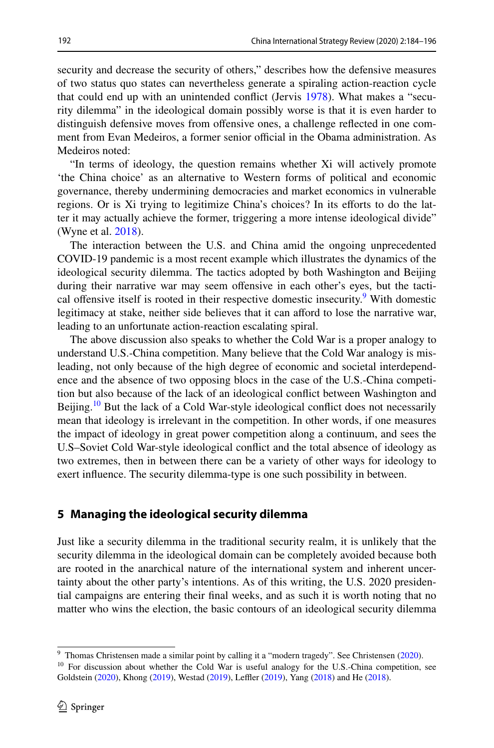security and decrease the security of others," describes how the defensive measures of two status quo states can nevertheless generate a spiraling action-reaction cycle that could end up with an unintended confict (Jervis [1978\)](#page-11-18). What makes a "security dilemma" in the ideological domain possibly worse is that it is even harder to distinguish defensive moves from offensive ones, a challenge reflected in one comment from Evan Medeiros, a former senior official in the Obama administration. As Medeiros noted:

"In terms of ideology, the question remains whether Xi will actively promote 'the China choice' as an alternative to Western forms of political and economic governance, thereby undermining democracies and market economics in vulnerable regions. Or is Xi trying to legitimize China's choices? In its efforts to do the latter it may actually achieve the former, triggering a more intense ideological divide" (Wyne et al. [2018](#page-12-13)).

The interaction between the U.S. and China amid the ongoing unprecedented COVID-19 pandemic is a most recent example which illustrates the dynamics of the ideological security dilemma. The tactics adopted by both Washington and Beijing during their narrative war may seem offensive in each other's eyes, but the tacti-cal offensive itself is rooted in their respective domestic insecurity.<sup>[9](#page-8-0)</sup> With domestic legitimacy at stake, neither side believes that it can afford to lose the narrative war, leading to an unfortunate action-reaction escalating spiral.

The above discussion also speaks to whether the Cold War is a proper analogy to understand U.S.-China competition. Many believe that the Cold War analogy is misleading, not only because of the high degree of economic and societal interdependence and the absence of two opposing blocs in the case of the U.S.-China competition but also because of the lack of an ideological confict between Washington and Beijing.<sup>10</sup> But the lack of a Cold War-style ideological conflict does not necessarily mean that ideology is irrelevant in the competition. In other words, if one measures the impact of ideology in great power competition along a continuum, and sees the U.S–Soviet Cold War-style ideological confict and the total absence of ideology as two extremes, then in between there can be a variety of other ways for ideology to exert infuence. The security dilemma-type is one such possibility in between.

#### **5 Managing the ideological security dilemma**

Just like a security dilemma in the traditional security realm, it is unlikely that the security dilemma in the ideological domain can be completely avoided because both are rooted in the anarchical nature of the international system and inherent uncertainty about the other party's intentions. As of this writing, the U.S. 2020 presidential campaigns are entering their fnal weeks, and as such it is worth noting that no matter who wins the election, the basic contours of an ideological security dilemma

<span id="page-8-0"></span><sup>&</sup>lt;sup>9</sup> Thomas Christensen made a similar point by calling it a "modern tragedy". See Christensen [\(2020](#page-10-16)).

<span id="page-8-1"></span><sup>&</sup>lt;sup>10</sup> For discussion about whether the Cold War is useful analogy for the U.S.-China competition, see Goldstein ([2020\)](#page-11-19), Khong ([2019\)](#page-12-14), Westad [\(2019](#page-11-2)), Leffler (2019), Yang [\(2018](#page-12-15)) and He ([2018\)](#page-11-21).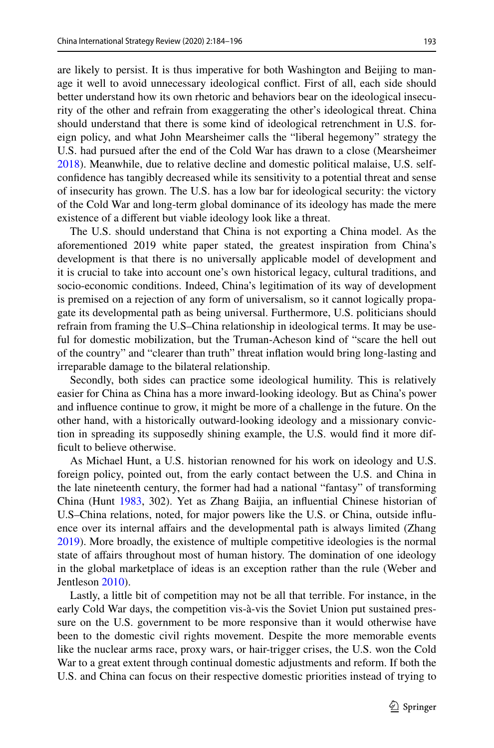are likely to persist. It is thus imperative for both Washington and Beijing to manage it well to avoid unnecessary ideological confict. First of all, each side should better understand how its own rhetoric and behaviors bear on the ideological insecurity of the other and refrain from exaggerating the other's ideological threat. China should understand that there is some kind of ideological retrenchment in U.S. foreign policy, and what John Mearsheimer calls the "liberal hegemony" strategy the U.S. had pursued after the end of the Cold War has drawn to a close (Mearsheimer [2018](#page-11-22)). Meanwhile, due to relative decline and domestic political malaise, U.S. selfconfdence has tangibly decreased while its sensitivity to a potential threat and sense of insecurity has grown. The U.S. has a low bar for ideological security: the victory of the Cold War and long-term global dominance of its ideology has made the mere existence of a diferent but viable ideology look like a threat.

The U.S. should understand that China is not exporting a China model. As the aforementioned 2019 white paper stated, the greatest inspiration from China's development is that there is no universally applicable model of development and it is crucial to take into account one's own historical legacy, cultural traditions, and socio-economic conditions. Indeed, China's legitimation of its way of development is premised on a rejection of any form of universalism, so it cannot logically propagate its developmental path as being universal. Furthermore, U.S. politicians should refrain from framing the U.S–China relationship in ideological terms. It may be useful for domestic mobilization, but the Truman-Acheson kind of "scare the hell out of the country" and "clearer than truth" threat infation would bring long-lasting and irreparable damage to the bilateral relationship.

Secondly, both sides can practice some ideological humility. This is relatively easier for China as China has a more inward-looking ideology. But as China's power and infuence continue to grow, it might be more of a challenge in the future. On the other hand, with a historically outward-looking ideology and a missionary conviction in spreading its supposedly shining example, the U.S. would fnd it more difficult to believe otherwise.

As Michael Hunt, a U.S. historian renowned for his work on ideology and U.S. foreign policy, pointed out, from the early contact between the U.S. and China in the late nineteenth century, the former had had a national "fantasy" of transforming China (Hunt [1983](#page-11-23), 302). Yet as Zhang Baijia, an infuential Chinese historian of U.S–China relations, noted, for major powers like the U.S. or China, outside infuence over its internal afairs and the developmental path is always limited (Zhang [2019](#page-12-16)). More broadly, the existence of multiple competitive ideologies is the normal state of affairs throughout most of human history. The domination of one ideology in the global marketplace of ideas is an exception rather than the rule (Weber and Jentleson [2010\)](#page-12-17).

Lastly, a little bit of competition may not be all that terrible. For instance, in the early Cold War days, the competition vis-à-vis the Soviet Union put sustained pressure on the U.S. government to be more responsive than it would otherwise have been to the domestic civil rights movement. Despite the more memorable events like the nuclear arms race, proxy wars, or hair-trigger crises, the U.S. won the Cold War to a great extent through continual domestic adjustments and reform. If both the U.S. and China can focus on their respective domestic priorities instead of trying to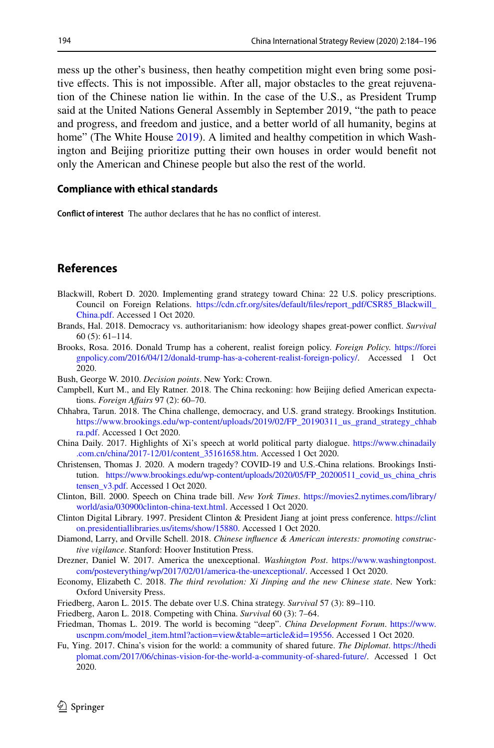mess up the other's business, then heathy competition might even bring some positive efects. This is not impossible. After all, major obstacles to the great rejuvenation of the Chinese nation lie within. In the case of the U.S., as President Trump said at the United Nations General Assembly in September 2019, "the path to peace and progress, and freedom and justice, and a better world of all humanity, begins at home" (The White House [2019](#page-12-18)). A limited and healthy competition in which Washington and Beijing prioritize putting their own houses in order would beneft not only the American and Chinese people but also the rest of the world.

#### **Compliance with ethical standards**

**Confict of interest** The author declares that he has no confict of interest.

## **References**

- <span id="page-10-0"></span>Blackwill, Robert D. 2020. Implementing grand strategy toward China: 22 U.S. policy prescriptions. Council on Foreign Relations. [https://cdn.cfr.org/sites/default/fles/report\\_pdf/CSR85\\_Blackwill\\_](https://cdn.cfr.org/sites/default/files/report_pdf/CSR85_Blackwill_China.pdf) [China.pdf.](https://cdn.cfr.org/sites/default/files/report_pdf/CSR85_Blackwill_China.pdf) Accessed 1 Oct 2020.
- <span id="page-10-1"></span>Brands, Hal. 2018. Democracy vs. authoritarianism: how ideology shapes great-power confict. *Survival* 60 (5): 61–114.
- <span id="page-10-13"></span>Brooks, Rosa. 2016. Donald Trump has a coherent, realist foreign policy. *Foreign Policy.* [https://forei](https://foreignpolicy.com/2016/04/12/donald-trump-has-a-coherent-realist-foreign-policy/) [gnpolicy.com/2016/04/12/donald-trump-has-a-coherent-realist-foreign-policy/](https://foreignpolicy.com/2016/04/12/donald-trump-has-a-coherent-realist-foreign-policy/). Accessed 1 Oct 2020.
- <span id="page-10-6"></span>Bush, George W. 2010. *Decision points*. New York: Crown.
- <span id="page-10-9"></span>Campbell, Kurt M., and Ely Ratner. 2018. The China reckoning: how Beijing defed American expectations. *Foreign Afairs* 97 (2): 60–70.
- <span id="page-10-3"></span>Chhabra, Tarun. 2018. The China challenge, democracy, and U.S. grand strategy. Brookings Institution. [https://www.brookings.edu/wp-content/uploads/2019/02/FP\\_20190311\\_us\\_grand\\_strategy\\_chhab](https://www.brookings.edu/wp-content/uploads/2019/02/FP_20190311_us_grand_strategy_chhabra.pdf) [ra.pdf.](https://www.brookings.edu/wp-content/uploads/2019/02/FP_20190311_us_grand_strategy_chhabra.pdf) Accessed 1 Oct 2020.
- <span id="page-10-15"></span>China Daily. 2017. Highlights of Xi's speech at world political party dialogue. [https://www.chinadaily](https://www.chinadaily.com.cn/china/2017-12/01/content_35161658.htm) [.com.cn/china/2017-12/01/content\\_35161658.htm](https://www.chinadaily.com.cn/china/2017-12/01/content_35161658.htm). Accessed 1 Oct 2020.
- <span id="page-10-16"></span>Christensen, Thomas J. 2020. A modern tragedy? COVID-19 and U.S.-China relations. Brookings Institution. [https://www.brookings.edu/wp-content/uploads/2020/05/FP\\_20200511\\_covid\\_us\\_china\\_chris](https://www.brookings.edu/wp-content/uploads/2020/05/FP_20200511_covid_us_china_christensen_v3.pdf) [tensen\\_v3.pdf](https://www.brookings.edu/wp-content/uploads/2020/05/FP_20200511_covid_us_china_christensen_v3.pdf). Accessed 1 Oct 2020.
- <span id="page-10-5"></span>Clinton, Bill. 2000. Speech on China trade bill. *New York Times*. [https://movies2.nytimes.com/library/](http://movies2.nytimes.com/library/world/asia/030900clinton-china-text.html) [world/asia/030900clinton-china-text.html.](http://movies2.nytimes.com/library/world/asia/030900clinton-china-text.html) Accessed 1 Oct 2020.
- <span id="page-10-4"></span>Clinton Digital Library. 1997. President Clinton & President Jiang at joint press conference. [https://clint](https://clinton.presidentiallibraries.us/items/show/15880) [on.presidentiallibraries.us/items/show/15880.](https://clinton.presidentiallibraries.us/items/show/15880) Accessed 1 Oct 2020.
- <span id="page-10-11"></span>Diamond, Larry, and Orville Schell. 2018. *Chinese infuence & American interests: promoting constructive vigilance*. Stanford: Hoover Institution Press.
- <span id="page-10-14"></span>Drezner, Daniel W. 2017. America the unexceptional. *Washington Post*. [https://www.washingtonpost.](https://www.washingtonpost.com/posteverything/wp/2017/02/01/america-the-unexceptional/) [com/posteverything/wp/2017/02/01/america-the-unexceptional/.](https://www.washingtonpost.com/posteverything/wp/2017/02/01/america-the-unexceptional/) Accessed 1 Oct 2020.
- <span id="page-10-7"></span>Economy, Elizabeth C. 2018. *The third revolution: Xi Jinping and the new Chinese state*. New York: Oxford University Press.
- <span id="page-10-8"></span>Friedberg, Aaron L. 2015. The debate over U.S. China strategy. *Survival* 57 (3): 89–110.
- <span id="page-10-2"></span>Friedberg, Aaron L. 2018. Competing with China. *Survival* 60 (3): 7–64.
- <span id="page-10-12"></span>Friedman, Thomas L. 2019. The world is becoming "deep". *China Development Forum*. [https://www.](http://www.uscnpm.com/model_item.html?action=view&table=article&id=19556) [uscnpm.com/model\\_item.html?action=view&table=article&id=19556](http://www.uscnpm.com/model_item.html?action=view&table=article&id=19556). Accessed 1 Oct 2020.
- <span id="page-10-10"></span>Fu, Ying. 2017. China's vision for the world: a community of shared future. *The Diplomat*. [https://thedi](https://thediplomat.com/2017/06/chinas-vision-for-the-world-a-community-of-shared-future/) [plomat.com/2017/06/chinas-vision-for-the-world-a-community-of-shared-future/](https://thediplomat.com/2017/06/chinas-vision-for-the-world-a-community-of-shared-future/). Accessed 1 Oct 2020.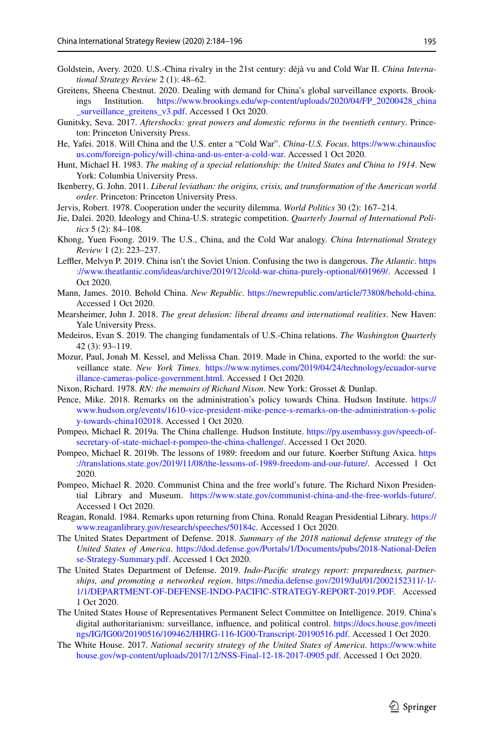- <span id="page-11-19"></span>Goldstein, Avery. 2020. U.S.-China rivalry in the 21st century: déjà vu and Cold War II. *China International Strategy Review* 2 (1): 48–62.
- <span id="page-11-15"></span>Greitens, Sheena Chestnut. 2020. Dealing with demand for China's global surveillance exports. Brookings Institution. [https://www.brookings.edu/wp-content/uploads/2020/04/FP\\_20200428\\_china](https://www.brookings.edu/wp-content/uploads/2020/04/FP_20200428_china_surveillance_greitens_v3.pdf) surveillance greitens v3.pdf. Accessed 1 Oct 2020.
- <span id="page-11-17"></span>Gunitsky, Seva. 2017. *Aftershocks: great powers and domestic reforms in the twentieth century*. Princeton: Princeton University Press.
- <span id="page-11-21"></span>He, Yafei. 2018. Will China and the U.S. enter a "Cold War". *China-U.S. Focus*. [https://www.chinausfoc](https://www.chinausfocus.com/foreign-policy/will-china-and-us-enter-a-cold-war) [us.com/foreign-policy/will-china-and-us-enter-a-cold-war](https://www.chinausfocus.com/foreign-policy/will-china-and-us-enter-a-cold-war). Accessed 1 Oct 2020.
- <span id="page-11-23"></span>Hunt, Michael H. 1983. *The making of a special relationship: the United States and China to 1914*. New York: Columbia University Press.
- <span id="page-11-16"></span>Ikenberry, G. John. 2011. *Liberal leviathan: the origins, crisis, and transformation of the American world order*. Princeton: Princeton University Press.
- <span id="page-11-18"></span>Jervis, Robert. 1978. Cooperation under the security dilemma. *World Politics* 30 (2): 167–214.
- <span id="page-11-0"></span>Jie, Dalei. 2020. Ideology and China-U.S. strategic competition. *Quarterly Journal of International Politics* 5 (2): 84–108.
- <span id="page-11-20"></span>Khong, Yuen Foong. 2019. The U.S., China, and the Cold War analogy. *China International Strategy Review* 1 (2): 223–237.
- <span id="page-11-2"></span>Leffler, Melvyn P. 2019. China isn't the Soviet Union. Confusing the two is dangerous. *The Atlantic*. [https](https://www.theatlantic.com/ideas/archive/2019/12/cold-war-china-purely-optional/601969/) [://www.theatlantic.com/ideas/archive/2019/12/cold-war-china-purely-optional/601969/](https://www.theatlantic.com/ideas/archive/2019/12/cold-war-china-purely-optional/601969/). Accessed 1 Oct 2020.
- <span id="page-11-7"></span>Mann, James. 2010. Behold China. *New Republic*. <https://newrepublic.com/article/73808/behold-china>. Accessed 1 Oct 2020.
- <span id="page-11-22"></span>Mearsheimer, John J. 2018. *The great delusion: liberal dreams and international realities*. New Haven: Yale University Press.
- <span id="page-11-1"></span>Medeiros, Evan S. 2019. The changing fundamentals of U.S.-China relations. *The Washington Quarterly* 42 (3): 93–119.
- <span id="page-11-14"></span>Mozur, Paul, Jonah M. Kessel, and Melissa Chan. 2019. Made in China, exported to the world: the surveillance state. *New York Times*. [https://www.nytimes.com/2019/04/24/technology/ecuador-surve](https://www.nytimes.com/2019/04/24/technology/ecuador-surveillance-cameras-police-government.html) [illance-cameras-police-government.html.](https://www.nytimes.com/2019/04/24/technology/ecuador-surveillance-cameras-police-government.html) Accessed 1 Oct 2020.
- <span id="page-11-5"></span>Nixon, Richard. 1978. *RN: the memoirs of Richard Nixon*. New York: Grosset & Dunlap.
- <span id="page-11-11"></span>Pence, Mike. 2018. Remarks on the administration's policy towards China. Hudson Institute. [https://](https://www.hudson.org/events/1610-vice-president-mike-pence-s-remarks-on-the-administration-s-policy-towards-china102018) [www.hudson.org/events/1610-vice-president-mike-pence-s-remarks-on-the-administration-s-polic](https://www.hudson.org/events/1610-vice-president-mike-pence-s-remarks-on-the-administration-s-policy-towards-china102018) [y-towards-china102018](https://www.hudson.org/events/1610-vice-president-mike-pence-s-remarks-on-the-administration-s-policy-towards-china102018). Accessed 1 Oct 2020.
- <span id="page-11-3"></span>Pompeo, Michael R. 2019a. The China challenge. Hudson Institute. [https://py.usembassy.gov/speech-of](https://py.usembassy.gov/speech-of-secretary-of-state-michael-r-pompeo-the-china-challenge/)[secretary-of-state-michael-r-pompeo-the-china-challenge/.](https://py.usembassy.gov/speech-of-secretary-of-state-michael-r-pompeo-the-china-challenge/) Accessed 1 Oct 2020.
- <span id="page-11-4"></span>Pompeo, Michael R. 2019b. The lessons of 1989: freedom and our future. Koerber Stiftung Axica. [https](https://translations.state.gov/2019/11/08/the-lessons-of-1989-freedom-and-our-future/) [://translations.state.gov/2019/11/08/the-lessons-of-1989-freedom-and-our-future/](https://translations.state.gov/2019/11/08/the-lessons-of-1989-freedom-and-our-future/). Accessed 1 Oct 2020.
- <span id="page-11-12"></span>Pompeo, Michael R. 2020. Communist China and the free world's future. The Richard Nixon Presidential Library and Museum. <https://www.state.gov/communist-china-and-the-free-worlds-future/>. Accessed 1 Oct 2020.
- <span id="page-11-6"></span>Reagan, Ronald. 1984. Remarks upon returning from China. Ronald Reagan Presidential Library. [https://](https://www.reaganlibrary.gov/research/speeches/50184c) [www.reaganlibrary.gov/research/speeches/50184c.](https://www.reaganlibrary.gov/research/speeches/50184c) Accessed 1 Oct 2020.
- <span id="page-11-9"></span>The United States Department of Defense. 2018. *Summary of the 2018 national defense strategy of the United States of America*. [https://dod.defense.gov/Portals/1/Documents/pubs/2018-National-Defen](https://dod.defense.gov/Portals/1/Documents/pubs/2018-National-Defense-Strategy-Summary.pdf) [se-Strategy-Summary.pdf.](https://dod.defense.gov/Portals/1/Documents/pubs/2018-National-Defense-Strategy-Summary.pdf) Accessed 1 Oct 2020.
- <span id="page-11-10"></span>The United States Department of Defense. 2019. *Indo-Pacifc strategy report: preparedness, partnerships, and promoting a networked region*. [https://media.defense.gov/2019/Jul/01/2002152311/-1/-](https://media.defense.gov/2019/Jul/01/2002152311/-1/-1/1/DEPARTMENT-OF-DEFENSE-INDO-PACIFIC-STRATEGY-REPORT-2019.PDF) [1/1/DEPARTMENT-OF-DEFENSE-INDO-PACIFIC-STRATEGY-REPORT-2019.PDF](https://media.defense.gov/2019/Jul/01/2002152311/-1/-1/1/DEPARTMENT-OF-DEFENSE-INDO-PACIFIC-STRATEGY-REPORT-2019.PDF). Accessed 1 Oct 2020.
- <span id="page-11-13"></span>The United States House of Representatives Permanent Select Committee on Intelligence. 2019. China's digital authoritarianism: surveillance, infuence, and political control. [https://docs.house.gov/meeti](https://docs.house.gov/meetings/IG/IG00/20190516/109462/HHRG-116-IG00-Transcript-20190516.pdf) [ngs/IG/IG00/20190516/109462/HHRG-116-IG00-Transcript-20190516.pdf.](https://docs.house.gov/meetings/IG/IG00/20190516/109462/HHRG-116-IG00-Transcript-20190516.pdf) Accessed 1 Oct 2020.
- <span id="page-11-8"></span>The White House. 2017. *National security strategy of the United States of America*. [https://www.white](https://www.whitehouse.gov/wp-content/uploads/2017/12/NSS-Final-12-18-2017-0905.pdf) [house.gov/wp-content/uploads/2017/12/NSS-Final-12-18-2017-0905.pdf.](https://www.whitehouse.gov/wp-content/uploads/2017/12/NSS-Final-12-18-2017-0905.pdf) Accessed 1 Oct 2020.